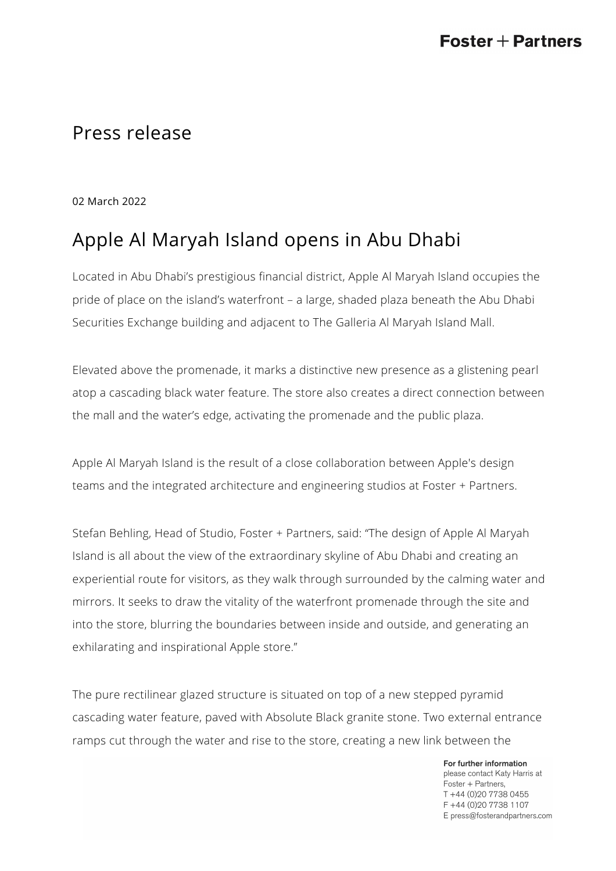## Press release

02 March 2022

## Apple Al Maryah Island opens in Abu Dhabi

Located in Abu Dhabi's prestigious financial district, Apple Al Maryah Island occupies the pride of place on the island's waterfront – a large, shaded plaza beneath the Abu Dhabi Securities Exchange building and adjacent to The Galleria Al Maryah Island Mall.

Elevated above the promenade, it marks a distinctive new presence as a glistening pearl atop a cascading black water feature. The store also creates a direct connection between the mall and the water's edge, activating the promenade and the public plaza.

Apple Al Maryah Island is the result of a close collaboration between Apple's design teams and the integrated architecture and engineering studios at Foster + Partners.

Stefan Behling, Head of Studio, Foster + Partners, said: "The design of Apple Al Maryah Island is all about the view of the extraordinary skyline of Abu Dhabi and creating an experiential route for visitors, as they walk through surrounded by the calming water and mirrors. It seeks to draw the vitality of the waterfront promenade through the site and into the store, blurring the boundaries between inside and outside, and generating an exhilarating and inspirational Apple store."

The pure rectilinear glazed structure is situated on top of a new stepped pyramid cascading water feature, paved with Absolute Black granite stone. Two external entrance ramps cut through the water and rise to the store, creating a new link between the

> For further information please contact Katy Harris at Foster + Partners, T +44 (0)20 7738 0455 F +44 (0) 20 7738 1107 E press@fosterandpartners.com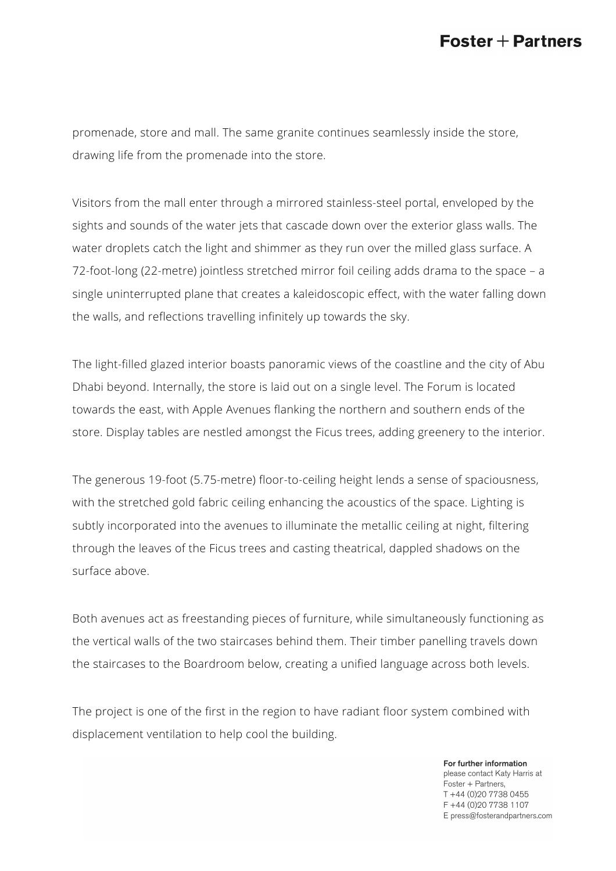## $\textsf{Foster}+\textsf{Partners}$

promenade, store and mall. The same granite continues seamlessly inside the store, drawing life from the promenade into the store.

Visitors from the mall enter through a mirrored stainless-steel portal, enveloped by the sights and sounds of the water jets that cascade down over the exterior glass walls. The water droplets catch the light and shimmer as they run over the milled glass surface. A 72-foot-long (22-metre) jointless stretched mirror foil ceiling adds drama to the space – a single uninterrupted plane that creates a kaleidoscopic effect, with the water falling down the walls, and reflections travelling infinitely up towards the sky.

The light-filled glazed interior boasts panoramic views of the coastline and the city of Abu Dhabi beyond. Internally, the store is laid out on a single level. The Forum is located towards the east, with Apple Avenues flanking the northern and southern ends of the store. Display tables are nestled amongst the Ficus trees, adding greenery to the interior.

The generous 19-foot (5.75-metre) floor-to-ceiling height lends a sense of spaciousness, with the stretched gold fabric ceiling enhancing the acoustics of the space. Lighting is subtly incorporated into the avenues to illuminate the metallic ceiling at night, filtering through the leaves of the Ficus trees and casting theatrical, dappled shadows on the surface above.

Both avenues act as freestanding pieces of furniture, while simultaneously functioning as the vertical walls of the two staircases behind them. Their timber panelling travels down the staircases to the Boardroom below, creating a unified language across both levels.

The project is one of the first in the region to have radiant floor system combined with displacement ventilation to help cool the building.

> For further information please contact Katy Harris at Foster + Partners, T +44 (0)20 7738 0455 F +44 (0) 20 7738 1107 E press@fosterandpartners.com